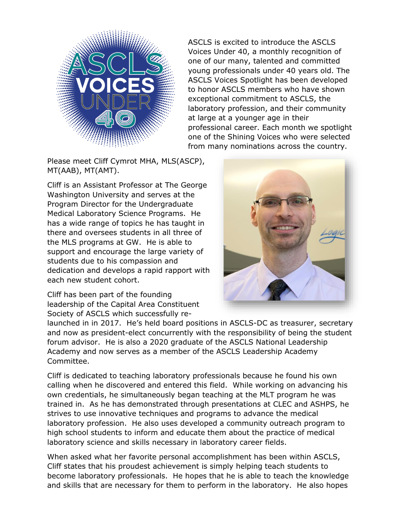

Please meet Cliff Cymrot MHA, MLS(ASCP), MT(AAB), MT(AMT).

Cliff is an Assistant Professor at The George Washington University and serves at the Program Director for the Undergraduate Medical Laboratory Science Programs. He has a wide range of topics he has taught in there and oversees students in all three of the MLS programs at GW. He is able to support and encourage the large variety of students due to his compassion and dedication and develops a rapid rapport with each new student cohort.

Cliff has been part of the founding leadership of the Capital Area Constituent Society of ASCLS which successfully re-

Voices Under 40, a monthly recognition of one of our many, talented and committed young professionals under 40 years old. The ASCLS Voices Spotlight has been developed to honor ASCLS members who have shown exceptional commitment to ASCLS, the laboratory profession, and their community at large at a younger age in their professional career. Each month we spotlight one of the Shining Voices who were selected from many nominations across the country.

ASCLS is excited to introduce the ASCLS



launched in in 2017. He's held board positions in ASCLS-DC as treasurer, secretary and now as president-elect concurrently with the responsibility of being the student forum advisor. He is also a 2020 graduate of the ASCLS National Leadership Academy and now serves as a member of the ASCLS Leadership Academy Committee.

Cliff is dedicated to teaching laboratory professionals because he found his own calling when he discovered and entered this field. While working on advancing his own credentials, he simultaneously began teaching at the MLT program he was trained in. As he has demonstrated through presentations at CLEC and ASHPS, he strives to use innovative techniques and programs to advance the medical laboratory profession. He also uses developed a community outreach program to high school students to inform and educate them about the practice of medical laboratory science and skills necessary in laboratory career fields.

When asked what her favorite personal accomplishment has been within ASCLS, Cliff states that his proudest achievement is simply helping teach students to become laboratory professionals. He hopes that he is able to teach the knowledge and skills that are necessary for them to perform in the laboratory. He also hopes